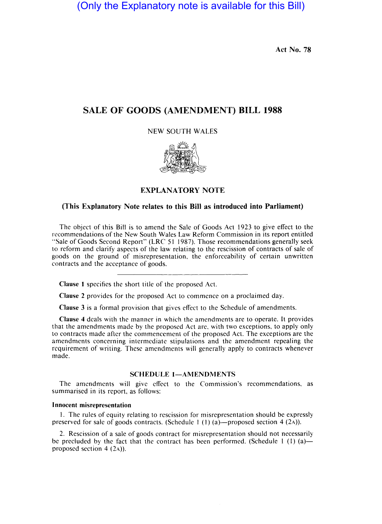(Only the Explanatory note is available for this Bill)

**Act No. 78** 

# **SALE OF GOODS (AMENDMENT) BILL 1988**

NEW SOUTH WALES



**EXPLANATORY NOTE** 

## **(This Explanatory Note relates to this Bill as introduced into Parliament)**

The object of this Bill is to amend the Sale of Goods Act 1923 to give effect to the recommendations of the New South Wales Law Reform Commission in its report entitled "Sale of Goods Second Report" (LRC 51 1987). Those recommendations generally seek to reform and clarify aspects of the law relating to the rescission of contracts of sale of goods on the ground of misrepresentation, the enforceability of certain unwritten contracts and the acceptance of goods.

**Clause I** specifies the short title of the proposed Act.

**Clause** 2 provides for the proposed Act to commence on a proclaimed day.

**Clause** 3 is a formal provision that gives effect to the Schedule of amendments.

**Clause 4** deals with the manner in which the amendments are to operate. It provides that the amendments made by the proposed Act are, with two exceptions, to apply only to contracts made after the commencement of the proposed Act. The exceptions are the amendments concerning intermediate stipulations and the amendment repealing the requirement of writing. These amendments will generally apply to contracts whenever made.

## **SCHEDULE 1-AMENDMENTS**

The amendments will give effect to the Commission's recommendations, as summarised in its report, as follows:

#### **I nnocent misrepresentation**

I. The rules of equity relating to rescission for misrepresentation should be expressly preserved for sale of goods contracts. (Schedule 1 (1) (a)—proposed section 4 (2A)).

2. Rescission of a sale of goods contract for misrepresentation should not necessarily be precluded by the fact that the contract has been performed. (Schedule 1  $(1)$  (a)proposed section  $4(2a)$ ).